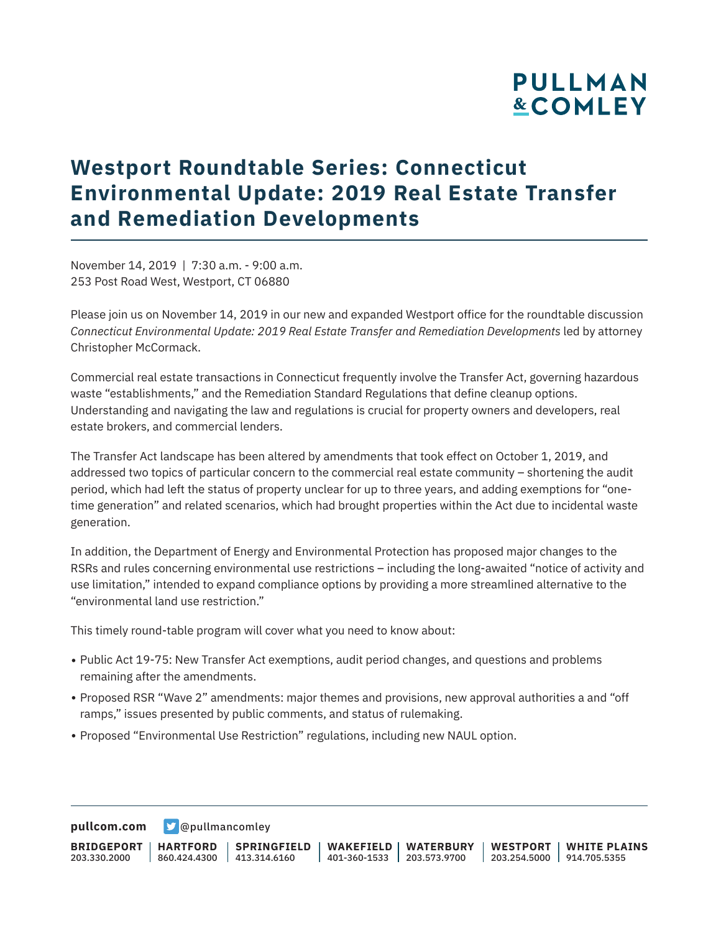# **PULLMAN &COMLEY**

# **Westport Roundtable Series: Connecticut Environmental Update: 2019 Real Estate Transfer and Remediation Developments**

November 14, 2019 | 7:30 a.m. - 9:00 a.m. 253 Post Road West, Westport, CT 06880

Please join us on November 14, 2019 in our new and expanded Westport office for the roundtable discussion *Connecticut Environmental Update: 2019 Real Estate Transfer and Remediation Developments* led by attorney Christopher McCormack.

Commercial real estate transactions in Connecticut frequently involve the Transfer Act, governing hazardous waste "establishments," and the Remediation Standard Regulations that define cleanup options. Understanding and navigating the law and regulations is crucial for property owners and developers, real estate brokers, and commercial lenders.

The Transfer Act landscape has been altered by amendments that took effect on October 1, 2019, and addressed two topics of particular concern to the commercial real estate community – shortening the audit period, which had left the status of property unclear for up to three years, and adding exemptions for "onetime generation" and related scenarios, which had brought properties within the Act due to incidental waste generation.

In addition, the Department of Energy and Environmental Protection has proposed major changes to the RSRs and rules concerning environmental use restrictions – including the long-awaited "notice of activity and use limitation," intended to expand compliance options by providing a more streamlined alternative to the "environmental land use restriction."

This timely round-table program will cover what you need to know about:

- Public Act 19-75: New Transfer Act exemptions, audit period changes, and questions and problems remaining after the amendments.
- Proposed RSR "Wave 2" amendments: major themes and provisions, new approval authorities a and "off ramps," issues presented by public comments, and status of rulemaking.
- Proposed "Environmental Use Restriction" regulations, including new NAUL option.

**[pullcom.com](https://www.pullcom.com) g** [@pullmancomley](https://twitter.com/PullmanComley)